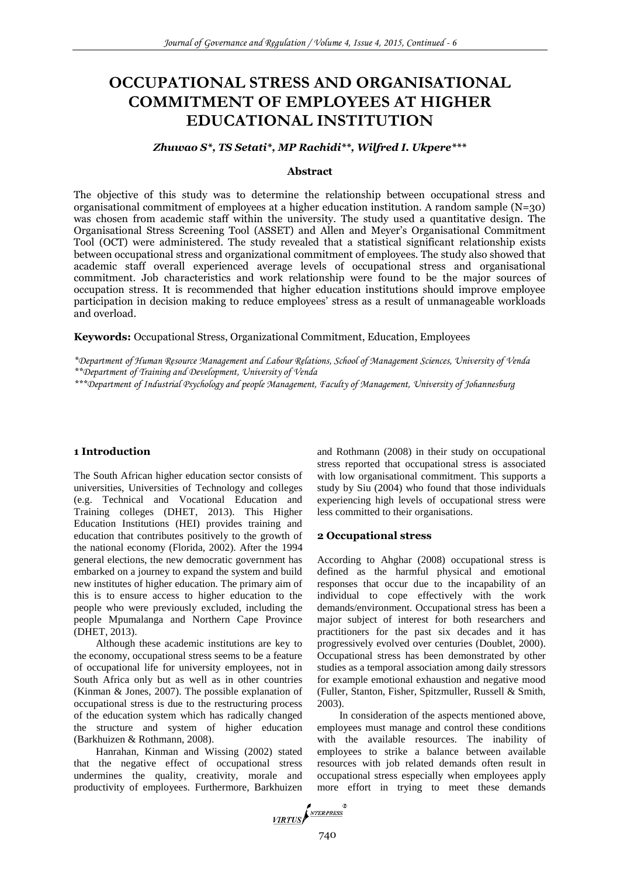# **OCCUPATIONAL STRESS AND ORGANISATIONAL COMMITMENT OF EMPLOYEES AT HIGHER EDUCATIONAL INSTITUTION**

#### *Zhuwao S\*, TS Setati\*, MP Rachidi\*\*, Wilfred I. Ukpere\*\*\**

#### **Abstract**

The objective of this study was to determine the relationship between occupational stress and organisational commitment of employees at a higher education institution. A random sample (N=30) was chosen from academic staff within the university. The study used a quantitative design. The Organisational Stress Screening Tool (ASSET) and Allen and Meyer's Organisational Commitment Tool (OCT) were administered. The study revealed that a statistical significant relationship exists between occupational stress and organizational commitment of employees. The study also showed that academic staff overall experienced average levels of occupational stress and organisational commitment. Job characteristics and work relationship were found to be the major sources of occupation stress. It is recommended that higher education institutions should improve employee participation in decision making to reduce employees' stress as a result of unmanageable workloads and overload.

# **Keywords:** Occupational Stress, Organizational Commitment, Education, Employees

*\*Department of Human Resource Management and Labour Relations, School of Management Sciences, University of Venda \*\*Department of Training and Development, University of Venda*

*\*\*\*Department of Industrial Psychology and people Management, Faculty of Management, University of Johannesburg*

## **1 Introduction**

The South African higher education sector consists of universities, Universities of Technology and colleges (e.g. Technical and Vocational Education and Training colleges (DHET, 2013). This Higher Education Institutions (HEI) provides training and education that contributes positively to the growth of the national economy (Florida, 2002). After the 1994 general elections, the new democratic government has embarked on a journey to expand the system and build new institutes of higher education. The primary aim of this is to ensure access to higher education to the people who were previously excluded, including the people Mpumalanga and Northern Cape Province (DHET, 2013).

Although these academic institutions are key to the economy, occupational stress seems to be a feature of occupational life for university employees, not in South Africa only but as well as in other countries (Kinman & Jones, 2007). The possible explanation of occupational stress is due to the restructuring process of the education system which has radically changed the structure and system of higher education (Barkhuizen & Rothmann, 2008).

Hanrahan, Kinman and Wissing (2002) stated that the negative effect of occupational stress undermines the quality, creativity, morale and productivity of employees. Furthermore, Barkhuizen and Rothmann (2008) in their study on occupational stress reported that occupational stress is associated with low organisational commitment. This supports a study by Siu (2004) who found that those individuals experiencing high levels of occupational stress were less committed to their organisations.

#### **2 Occupational stress**

According to Ahghar (2008) occupational stress is defined as the harmful physical and emotional responses that occur due to the incapability of an individual to cope effectively with the work demands/environment. Occupational stress has been a major subject of interest for both researchers and practitioners for the past six decades and it has progressively evolved over centuries (Doublet, 2000). Occupational stress has been demonstrated by other studies as a temporal association among daily stressors for example emotional exhaustion and negative mood (Fuller, Stanton, Fisher, Spitzmuller, Russell & Smith, 2003).

In consideration of the aspects mentioned above, employees must manage and control these conditions with the available resources. The inability of employees to strike a balance between available resources with job related demands often result in occupational stress especially when employees apply more effort in trying to meet these demands

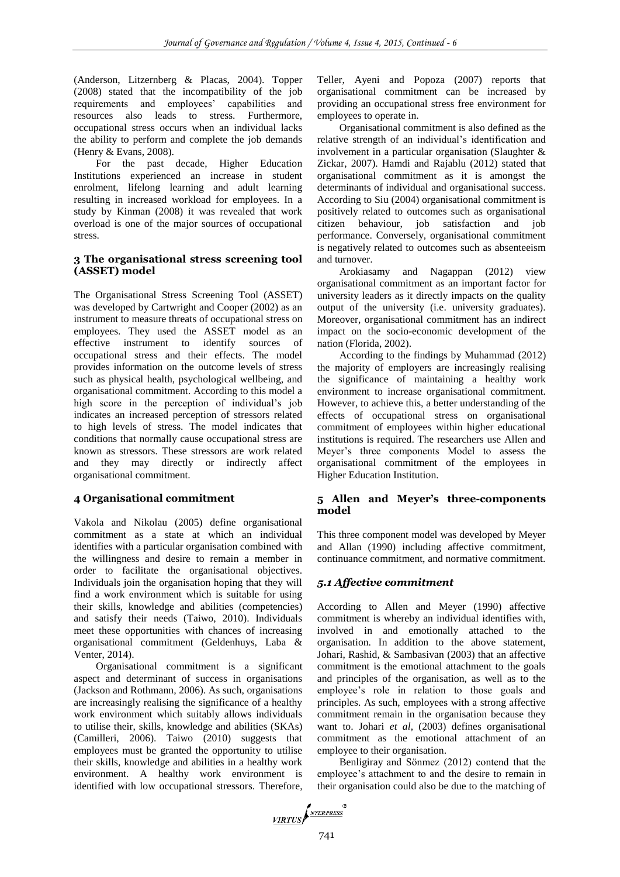(Anderson, Litzernberg & Placas, 2004). Topper (2008) stated that the incompatibility of the job requirements and employees' capabilities and resources also leads to stress. Furthermore, occupational stress occurs when an individual lacks the ability to perform and complete the job demands (Henry & Evans, 2008).

For the past decade, Higher Education Institutions experienced an increase in student enrolment, lifelong learning and adult learning resulting in increased workload for employees. In a study by Kinman (2008) it was revealed that work overload is one of the major sources of occupational stress.

# **3 The organisational stress screening tool (ASSET) model**

The Organisational Stress Screening Tool (ASSET) was developed by Cartwright and Cooper (2002) as an instrument to measure threats of occupational stress on employees. They used the ASSET model as an effective instrument to identify sources of occupational stress and their effects. The model provides information on the outcome levels of stress such as physical health, psychological wellbeing, and organisational commitment. According to this model a high score in the perception of individual's job indicates an increased perception of stressors related to high levels of stress. The model indicates that conditions that normally cause occupational stress are known as stressors. These stressors are work related and they may directly or indirectly affect organisational commitment.

# **4 Organisational commitment**

Vakola and Nikolau (2005) define organisational commitment as a state at which an individual identifies with a particular organisation combined with the willingness and desire to remain a member in order to facilitate the organisational objectives. Individuals join the organisation hoping that they will find a work environment which is suitable for using their skills, knowledge and abilities (competencies) and satisfy their needs (Taiwo, 2010). Individuals meet these opportunities with chances of increasing organisational commitment (Geldenhuys, Laba & Venter, 2014).

Organisational commitment is a significant aspect and determinant of success in organisations (Jackson and Rothmann*,* 2006). As such, organisations are increasingly realising the significance of a healthy work environment which suitably allows individuals to utilise their, skills, knowledge and abilities (SKAs) (Camilleri, 2006). Taiwo (2010) suggests that employees must be granted the opportunity to utilise their skills, knowledge and abilities in a healthy work environment. A healthy work environment is identified with low occupational stressors. Therefore, Teller, Ayeni and Popoza (2007) reports that organisational commitment can be increased by providing an occupational stress free environment for employees to operate in.

Organisational commitment is also defined as the relative strength of an individual's identification and involvement in a particular organisation (Slaughter & Zickar, 2007). Hamdi and Rajablu (2012) stated that organisational commitment as it is amongst the determinants of individual and organisational success. According to Siu (2004) organisational commitment is positively related to outcomes such as organisational citizen behaviour, job satisfaction and job performance. Conversely, organisational commitment is negatively related to outcomes such as absenteeism and turnover.

Arokiasamy and Nagappan (2012) view organisational commitment as an important factor for university leaders as it directly impacts on the quality output of the university (i.e. university graduates). Moreover, organisational commitment has an indirect impact on the socio-economic development of the nation (Florida, 2002).

According to the findings by Muhammad (2012) the majority of employers are increasingly realising the significance of maintaining a healthy work environment to increase organisational commitment. However, to achieve this, a better understanding of the effects of occupational stress on organisational commitment of employees within higher educational institutions is required. The researchers use Allen and Meyer's three components Model to assess the organisational commitment of the employees in Higher Education Institution.

# **5 Allen and Meyer's three-components model**

This three component model was developed by Meyer and Allan (1990) including affective commitment, continuance commitment, and normative commitment.

# *5.1 Affective commitment*

According to Allen and Meyer (1990) affective commitment is whereby an individual identifies with, involved in and emotionally attached to the organisation. In addition to the above statement, Johari, Rashid, & Sambasivan (2003) that an affective commitment is the emotional attachment to the goals and principles of the organisation, as well as to the employee's role in relation to those goals and principles. As such, employees with a strong affective commitment remain in the organisation because they want to. Johari *et al*, (2003) defines organisational commitment as the emotional attachment of an employee to their organisation.

Benligiray and Sönmez (2012) contend that the employee's attachment to and the desire to remain in their organisation could also be due to the matching of

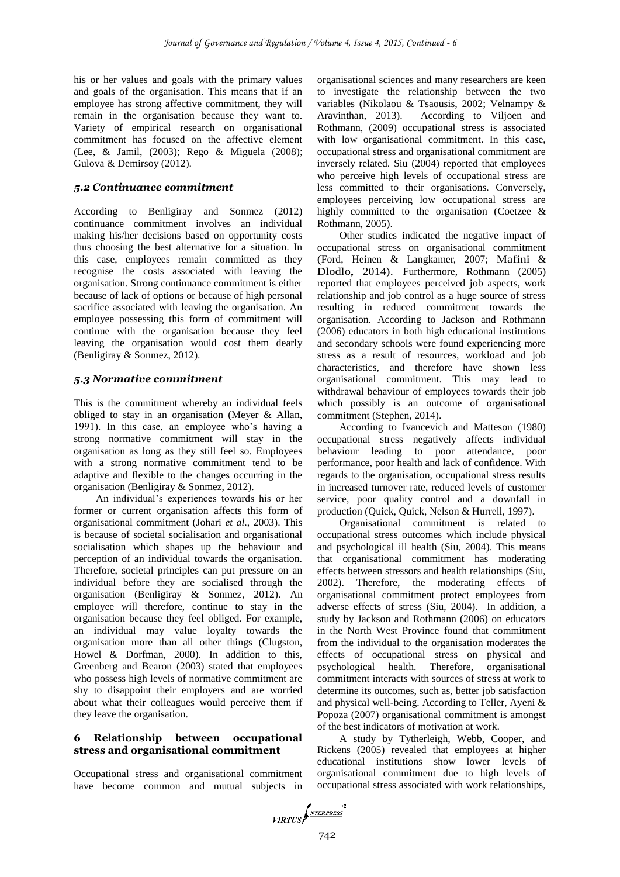his or her values and goals with the primary values and goals of the organisation. This means that if an employee has strong affective commitment, they will remain in the organisation because they want to. Variety of empirical research on organisational commitment has focused on the affective element (Lee, & Jamil, (2003); [Rego](http://www.emeraldinsight.com/action/doSearch?ContribStored=Rego%2C+A) & [Miguela](http://www.emeraldinsight.com/action/doSearch?ContribStored=Pina+E+Cunha%2C+M) (2008); Gulova & Demirsoy (2012).

# *5.2 Continuance commitment*

According to Benligiray and Sonmez (2012) continuance commitment involves an individual making his/her decisions based on opportunity costs thus choosing the best alternative for a situation. In this case, employees remain committed as they recognise the costs associated with leaving the organisation. Strong continuance commitment is either because of lack of options or because of high personal sacrifice associated with leaving the organisation. An employee possessing this form of commitment will continue with the organisation because they feel leaving the organisation would cost them dearly (Benligiray & Sonmez, 2012).

#### *5.3 Normative commitment*

This is the commitment whereby an individual feels obliged to stay in an organisation (Meyer & Allan, 1991). In this case, an employee who's having a strong normative commitment will stay in the organisation as long as they still feel so. Employees with a strong normative commitment tend to be adaptive and flexible to the changes occurring in the organisation (Benligiray & Sonmez, 2012).

An individual's experiences towards his or her former or current organisation affects this form of organisational commitment (Johari *et al*., 2003). This is because of societal socialisation and organisational socialisation which shapes up the behaviour and perception of an individual towards the organisation. Therefore, societal principles can put pressure on an individual before they are socialised through the organisation (Benligiray & Sonmez*,* 2012). An employee will therefore, continue to stay in the organisation because they feel obliged. For example, an individual may value loyalty towards the organisation more than all other things (Clugston, Howel & Dorfman, 2000). In addition to this, Greenberg and Bearon (2003) stated that employees who possess high levels of normative commitment are shy to disappoint their employers and are worried about what their colleagues would perceive them if they leave the organisation.

#### **6 Relationship between occupational stress and organisational commitment**

Occupational stress and organisational commitment have become common and mutual subjects in

organisational sciences and many researchers are keen to investigate the relationship between the two variables **(**Nikolaou & Tsaousis, 2002; Velnampy & Aravinthan, 2013). According to Viljoen and Rothmann, (2009) occupational stress is associated with low organisational commitment. In this case, occupational stress and organisational commitment are inversely related. Siu (2004) reported that employees who perceive high levels of occupational stress are less committed to their organisations. Conversely, employees perceiving low occupational stress are highly committed to the organisation (Coetzee & Rothmann, 2005).

Other studies indicated the negative impact of occupational stress on organisational commitment (Ford, Heinen & Langkamer, 2007; Mafini & Dlodlo, 2014). Furthermore, Rothmann (2005) reported that employees perceived job aspects, work relationship and job control as a huge source of stress resulting in reduced commitment towards the organisation. According to Jackson and Rothmann (2006) educators in both high educational institutions and secondary schools were found experiencing more stress as a result of resources, workload and job characteristics, and therefore have shown less organisational commitment. This may lead to withdrawal behaviour of employees towards their job which possibly is an outcome of organisational commitment (Stephen, 2014).

According to Ivancevich and Matteson (1980) occupational stress negatively affects individual behaviour leading to poor attendance, poor performance, poor health and lack of confidence. With regards to the organisation, occupational stress results in increased turnover rate, reduced levels of customer service, poor quality control and a downfall in production (Quick, Quick, Nelson & Hurrell, 1997).

Organisational commitment is related to occupational stress outcomes which include physical and psychological ill health (Siu, 2004). This means that organisational commitment has moderating effects between stressors and health relationships (Siu, 2002). Therefore, the moderating effects of organisational commitment protect employees from adverse effects of stress (Siu, 2004). In addition, a study by Jackson and Rothmann (2006) on educators in the North West Province found that commitment from the individual to the organisation moderates the effects of occupational stress on physical and psychological health. Therefore, organisational commitment interacts with sources of stress at work to determine its outcomes, such as, better job satisfaction and physical well-being. According to Teller, Ayeni & Popoza (2007) organisational commitment is amongst of the best indicators of motivation at work.

A study by Tytherleigh, Webb, Cooper, and Rickens (2005) revealed that employees at higher educational institutions show lower levels of organisational commitment due to high levels of occupational stress associated with work relationships,

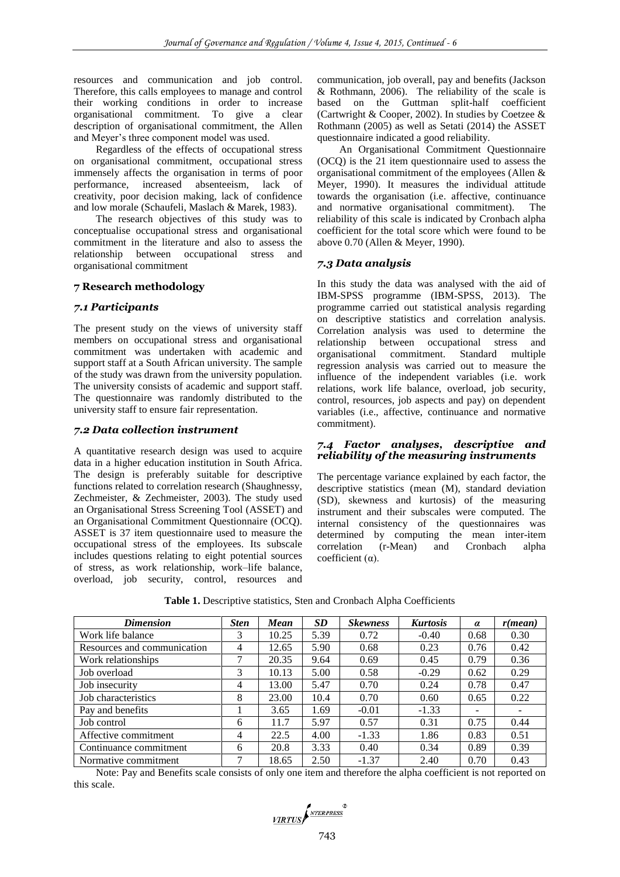resources and communication and job control. Therefore, this calls employees to manage and control their working conditions in order to increase organisational commitment. To give a clear description of organisational commitment, the Allen and Meyer's three component model was used.

Regardless of the effects of occupational stress on organisational commitment, occupational stress immensely affects the organisation in terms of poor performance, increased absenteeism, lack of creativity, poor decision making, lack of confidence and low morale (Schaufeli, Maslach & Marek, 1983).

The research objectives of this study was to conceptualise occupational stress and organisational commitment in the literature and also to assess the relationship between occupational stress and organisational commitment

#### **7 Research methodology**

#### *7.1 Participants*

The present study on the views of university staff members on occupational stress and organisational commitment was undertaken with academic and support staff at a South African university. The sample of the study was drawn from the university population. The university consists of academic and support staff. The questionnaire was randomly distributed to the university staff to ensure fair representation.

#### *7.2 Data collection instrument*

A quantitative research design was used to acquire data in a higher education institution in South Africa. The design is preferably suitable for descriptive functions related to correlation research (Shaughnessy, Zechmeister, & Zechmeister, 2003). The study used an Organisational Stress Screening Tool (ASSET) and an Organisational Commitment Questionnaire (OCQ). ASSET is 37 item questionnaire used to measure the occupational stress of the employees. Its subscale includes questions relating to eight potential sources of stress, as work relationship, work–life balance, overload, job security, control, resources and communication, job overall, pay and benefits (Jackson & Rothmann, 2006). The reliability of the scale is based on the Guttman split-half coefficient (Cartwright & Cooper, 2002). In studies by Coetzee & Rothmann (2005) as well as Setati (2014) the ASSET questionnaire indicated a good reliability.

An Organisational Commitment Questionnaire (OCQ) is the 21 item questionnaire used to assess the organisational commitment of the employees (Allen & Meyer, 1990). It measures the individual attitude towards the organisation (i.e. affective, continuance and normative organisational commitment). The reliability of this scale is indicated by Cronbach alpha coefficient for the total score which were found to be above 0.70 (Allen & Meyer, 1990).

# *7.3 Data analysis*

In this study the data was analysed with the aid of IBM-SPSS programme (IBM-SPSS, 2013). The programme carried out statistical analysis regarding on descriptive statistics and correlation analysis. Correlation analysis was used to determine the relationship between occupational stress and organisational commitment. Standard multiple regression analysis was carried out to measure the influence of the independent variables (i.e. work relations, work life balance, overload, job security, control, resources, job aspects and pay) on dependent variables (i.e., affective, continuance and normative commitment).

# *7.4 Factor analyses, descriptive and reliability of the measuring instruments*

The percentage variance explained by each factor, the descriptive statistics (mean (M), standard deviation (SD), skewness and kurtosis) of the measuring instrument and their subscales were computed. The internal consistency of the questionnaires was determined by computing the mean inter-item correlation (r-Mean) and Cronbach alpha coefficient (α).

| <b>Dimension</b>            | <b>Sten</b> | Mean  | <b>SD</b> | <b>Skewness</b> | <b>Kurtosis</b> | $\alpha$                 | $r(\boldsymbol{mean})$   |  |
|-----------------------------|-------------|-------|-----------|-----------------|-----------------|--------------------------|--------------------------|--|
| Work life balance           | 3           | 10.25 | 5.39      | 0.72            | $-0.40$         | 0.68                     | 0.30                     |  |
| Resources and communication | 4           | 12.65 | 5.90      | 0.68            | 0.23            | 0.76                     | 0.42                     |  |
| Work relationships          | 7           | 20.35 | 9.64      | 0.69            | 0.45            | 0.79                     | 0.36                     |  |
| Job overload                | 3           | 10.13 | 5.00      | 0.58            | $-0.29$         | 0.62                     | 0.29                     |  |
| Job insecurity              | 4           | 13.00 | 5.47      | 0.70            | 0.24            | 0.78                     | 0.47                     |  |
| Job characteristics         | 8           | 23.00 | 10.4      | 0.70            | 0.60            | 0.65                     | 0.22                     |  |
| Pay and benefits            |             | 3.65  | 1.69      | $-0.01$         | $-1.33$         | $\overline{\phantom{a}}$ | $\overline{\phantom{a}}$ |  |
| Job control                 | 6           | 11.7  | 5.97      | 0.57            | 0.31            | 0.75                     | 0.44                     |  |
| Affective commitment        | 4           | 22.5  | 4.00      | $-1.33$         | 1.86            | 0.83                     | 0.51                     |  |
| Continuance commitment      | 6           | 20.8  | 3.33      | 0.40            | 0.34            | 0.89                     | 0.39                     |  |
| Normative commitment        | 7           | 18.65 | 2.50      | $-1.37$         | 2.40            | 0.70                     | 0.43                     |  |

**Table 1.** Descriptive statistics, Sten and Cronbach Alpha Coefficients

Note: Pay and Benefits scale consists of only one item and therefore the alpha coefficient is not reported on this scale.

$$
\sqrt{\text{IRTUS}} \left( \text{NTERPRESS}^{\otimes} \right)
$$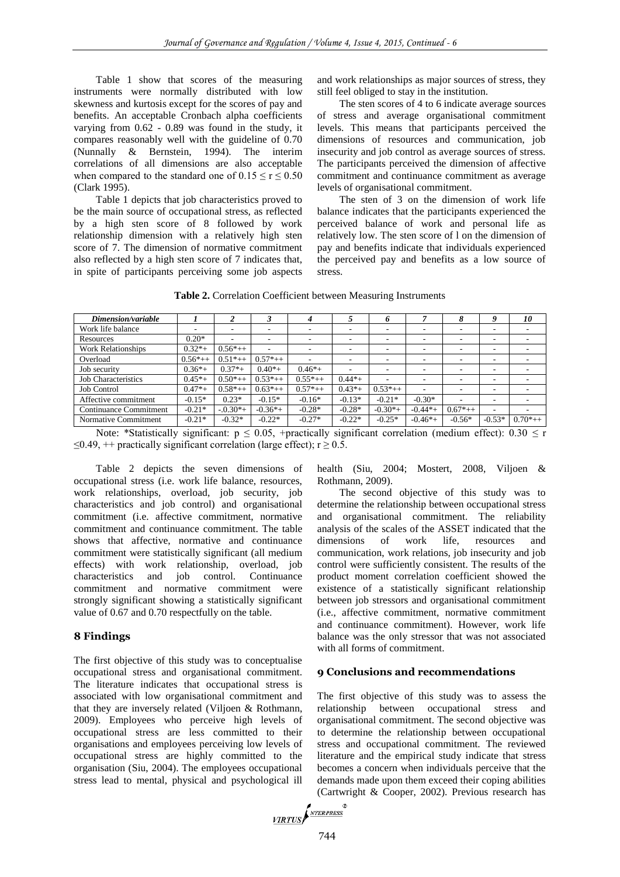Table 1 show that scores of the measuring instruments were normally distributed with low skewness and kurtosis except for the scores of pay and benefits. An acceptable Cronbach alpha coefficients varying from 0.62 - 0.89 was found in the study, it compares reasonably well with the guideline of 0.70 (Nunnally & Bernstein, 1994). The interim correlations of all dimensions are also acceptable when compared to the standard one of  $0.15 \le r \le 0.50$ (Clark 1995).

Table 1 depicts that job characteristics proved to be the main source of occupational stress, as reflected by a high sten score of 8 followed by work relationship dimension with a relatively high sten score of 7. The dimension of normative commitment also reflected by a high sten score of 7 indicates that, in spite of participants perceiving some job aspects

and work relationships as major sources of stress, they still feel obliged to stay in the institution.

The sten scores of 4 to 6 indicate average sources of stress and average organisational commitment levels. This means that participants perceived the dimensions of resources and communication, job insecurity and job control as average sources of stress. The participants perceived the dimension of affective commitment and continuance commitment as average levels of organisational commitment.

The sten of 3 on the dimension of work life balance indicates that the participants experienced the perceived balance of work and personal life as relatively low. The sten score of l on the dimension of pay and benefits indicate that individuals experienced the perceived pay and benefits as a low source of stress.

|  |  | Table 2. Correlation Coefficient between Measuring Instruments |
|--|--|----------------------------------------------------------------|
|  |  |                                                                |

| Dimension/variable         |           |              |            | 4         |                          | n         |          |                          |                          | 10         |
|----------------------------|-----------|--------------|------------|-----------|--------------------------|-----------|----------|--------------------------|--------------------------|------------|
| Work life balance          |           |              |            |           |                          | -         | ۰        |                          | ۰                        |            |
| Resources                  | $0.20*$   | ۰            | ۰          | ۰         | $\overline{\phantom{a}}$ |           | ۰        | $\overline{\phantom{a}}$ | $\overline{\phantom{a}}$ |            |
| <b>Work Relationships</b>  | $0.32*+$  | $0.56*++$    |            |           |                          | -         | ۰        |                          | ۰                        |            |
| Overload                   | $0.56*++$ | $0.51^*++$   | $0.57*++$  |           | $\overline{\phantom{a}}$ | ۰         | ۰        | $\overline{\phantom{a}}$ | $\overline{\phantom{a}}$ |            |
| Job security               | $0.36*+$  | $0.37*+$     | $0.40*$ +  | $0.46*+$  | -                        | ۰         | ۰        | ۰                        | $\overline{\phantom{a}}$ | ۰          |
| <b>Job Characteristics</b> | $0.45*+$  | $0.50^{*++}$ | $0.53*++$  | $0.55*++$ | $0.44*+$                 | ٠         |          |                          |                          |            |
| <b>Job Control</b>         | $0.47* +$ | $0.58*++$    | $0.63^*++$ | $0.57*++$ | $0.43*+$                 | $0.53*++$ | ۰        | $\overline{\phantom{a}}$ | $\overline{\phantom{a}}$ | ۰          |
| Affective commitment       | $-0.15*$  | $0.23*$      | $-0.15*$   | $-0.16*$  | $-0.13*$                 | $-0.21*$  | $-0.30*$ |                          | ۰                        |            |
| Continuance Commitment     | $-0.21*$  | $-0.30*$     | $-0.36*+$  | $-0.28*$  | $-0.28*$                 | $-0.30*$  | $-0.44*$ | $0.67*++$                | $\overline{\phantom{a}}$ | ۰          |
| Normative Commitment       | $-0.21*$  | $-0.32*$     | $-0.22*$   | $-0.27*$  | $-0.22*$                 | $-0.25*$  | $-0.46*$ | $-0.56*$                 | $-0.53*$                 | $0.70$ *++ |

Note: \*Statistically significant:  $p \le 0.05$ , +practically significant correlation (medium effect): 0.30  $\le r$  $\leq$ 0.49, ++ practically significant correlation (large effect); r  $\geq$  0.5.

Table 2 depicts the seven dimensions of occupational stress (i.e. work life balance, resources, work relationships, overload, job security, job characteristics and job control) and organisational commitment (i.e. affective commitment, normative commitment and continuance commitment. The table shows that affective, normative and continuance commitment were statistically significant (all medium effects) with work relationship, overload, job characteristics and job control. Continuance commitment and normative commitment were strongly significant showing a statistically significant value of 0.67 and 0.70 respectfully on the table.

# **8 Findings**

The first objective of this study was to conceptualise occupational stress and organisational commitment. The literature indicates that occupational stress is associated with low organisational commitment and that they are inversely related (Viljoen & Rothmann, 2009). Employees who perceive high levels of occupational stress are less committed to their organisations and employees perceiving low levels of occupational stress are highly committed to the organisation (Siu, 2004). The employees occupational stress lead to mental, physical and psychological ill

health (Siu, 2004; Mostert, 2008, Viljoen & Rothmann, 2009).

The second objective of this study was to determine the relationship between occupational stress and organisational commitment. The reliability analysis of the scales of the ASSET indicated that the dimensions of work life, resources and communication, work relations, job insecurity and job control were sufficiently consistent. The results of the product moment correlation coefficient showed the existence of a statistically significant relationship between job stressors and organisational commitment (i.e., affective commitment, normative commitment and continuance commitment). However, work life balance was the only stressor that was not associated with all forms of commitment.

# **9 Conclusions and recommendations**

The first objective of this study was to assess the relationship between occupational stress and organisational commitment. The second objective was to determine the relationship between occupational stress and occupational commitment. The reviewed literature and the empirical study indicate that stress becomes a concern when individuals perceive that the demands made upon them exceed their coping abilities (Cartwright & Cooper, 2002). Previous research has

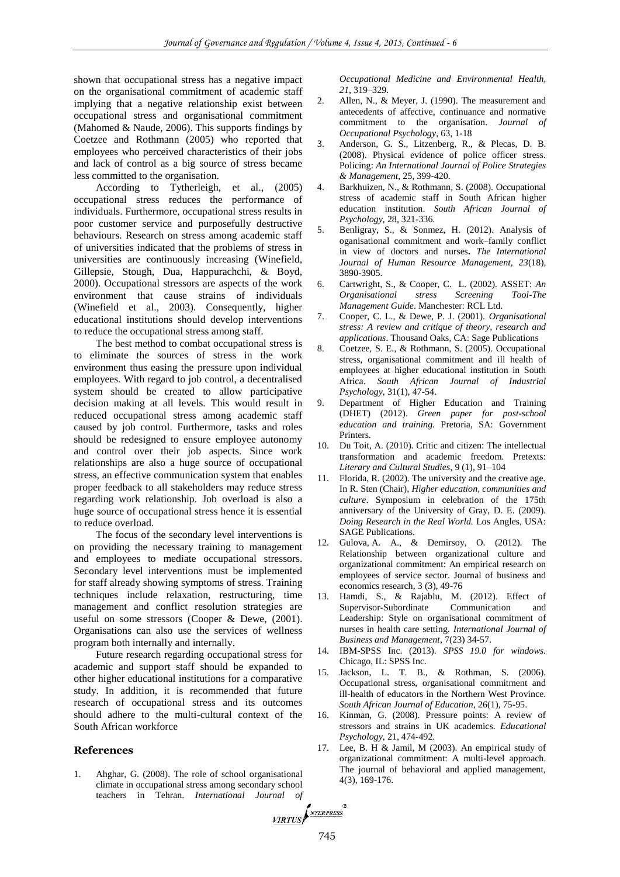shown that occupational stress has a negative impact on the organisational commitment of academic staff implying that a negative relationship exist between occupational stress and organisational commitment (Mahomed & Naude, 2006). This supports findings by Coetzee and Rothmann (2005) who reported that employees who perceived characteristics of their jobs and lack of control as a big source of stress became less committed to the organisation.

According to Tytherleigh, et al., (2005) occupational stress reduces the performance of individuals. Furthermore, occupational stress results in poor customer service and purposefully destructive behaviours. Research on stress among academic staff of universities indicated that the problems of stress in universities are continuously increasing (Winefield, Gillepsie, Stough, Dua, Happurachchi, & Boyd, 2000). Occupational stressors are aspects of the work environment that cause strains of individuals (Winefield et al., 2003). Consequently, higher educational institutions should develop interventions to reduce the occupational stress among staff.

The best method to combat occupational stress is to eliminate the sources of stress in the work environment thus easing the pressure upon individual employees. With regard to job control, a decentralised system should be created to allow participative decision making at all levels. This would result in reduced occupational stress among academic staff caused by job control. Furthermore, tasks and roles should be redesigned to ensure employee autonomy and control over their job aspects. Since work relationships are also a huge source of occupational stress, an effective communication system that enables proper feedback to all stakeholders may reduce stress regarding work relationship. Job overload is also a huge source of occupational stress hence it is essential to reduce overload.

The focus of the secondary level interventions is on providing the necessary training to management and employees to mediate occupational stressors. Secondary level interventions must be implemented for staff already showing symptoms of stress. Training techniques include relaxation, restructuring, time management and conflict resolution strategies are useful on some stressors (Cooper & Dewe, (2001). Organisations can also use the services of wellness program both internally and internally.

Future research regarding occupational stress for academic and support staff should be expanded to other higher educational institutions for a comparative study. In addition, it is recommended that future research of occupational stress and its outcomes should adhere to the multi-cultural context of the South African workforce

#### **References**

1. Ahghar, G. (2008). The role of school organisational climate in occupational stress among secondary school teachers in Tehran. *International Journal of* 

*Occupational Medicine and Environmental Health, 21,* 319–329.

- 2. Allen, N., & Meyer, J. (1990). The measurement and antecedents of affective, continuance and normative commitment to the organisation. *Journal of Occupational Psychology*, 63, 1-18
- 3. Anderson, G. S., Litzenberg, R., & Plecas, D. B. (2008). Physical evidence of police officer stress. Policing: *An International Journal of Police Strategies & Management*, 25, 399-420.
- 4. Barkhuizen, N., & Rothmann, S. (2008). Occupational stress of academic staff in South African higher education institution. *South African Journal of Psychology*, 28, 321-336.
- 5. Benligray, S., & Sonmez, H. (2012). Analysis of oganisational commitment and work–family conflict in view of doctors and nurses**.** *The International Journal of Human Resource Managem[ent, 23](http://www.tandfonline.com/loi/rijh20?open=23#vol_23)*[\(18\)](http://www.tandfonline.com/toc/rijh20/23/18), 3890-3905.
- 6. Cartwright, S., & Cooper, C. L. (2002). ASSET: *An Organisational stress Screening Tool-The Management Guide*. Manchester: RCL Ltd.
- 7. Cooper, C. L., & Dewe, P. J. (2001). *Organisational stress: A review and critique of theory, research and applications*. Thousand Oaks, CA: Sage Publications
- 8. Coetzee, S. E., & Rothmann, S. (2005). Occupational stress, organisational commitment and ill health of employees at higher educational institution in South Africa. *South African Journal of Industrial Psychology*, 31(1), 47-54.
- 9. Department of Higher Education and Training (DHET) (2012). *Green paper for post-school education and training.* Pretoria, SA: Government Printers.
- 10. Du Toit, A. (2010). Critic and citizen: The intellectual transformation and academic freedom. Pretexts: *Literary and Cultural Studies*, 9 (1), 91–104
- 11. Florida, R. (2002). The university and the creative age. In R. Sten (Chair), *Higher education, communities and culture*. Symposium in celebration of the 175th anniversary of the University of Gray, D. E. (2009). *Doing Research in the Real World.* Los Angles, USA: SAGE Publications.
- 12. Gulova, A. A., & Demirsoy, O. (2012). The Relationship between organizational culture and organizational commitment: An empirical research on employees of service sector. Journal of business and economics research, 3 (3), 49-76
- 13. Hamdi, S., & Rajablu, M. (2012). Effect of Supervisor-Subordinate Communication and Leadership: Style on organisational commitment of nurses in health care setting*. International Journal of Business and Management*, 7(23) 34-57.
- 14. IBM-SPSS Inc. (2013). *SPSS 19.0 for windows.*  Chicago, IL: SPSS Inc.
- 15. Jackson, L. T. B., & Rothman, S. (2006). Occupational stress, organisational commitment and ill-health of educators in the Northern West Province. *South African Journal of Education*, 26(1), 75-95.
- 16. Kinman, G. (2008). Pressure points: A review of stressors and strains in UK academics. *Educational Psychology*, 21, 474-492.
- 17. Lee, B. H & Jamil, M (2003). An empirical study of organizational commitment: A multi-level approach. The journal of behavioral and applied management, 4(3), 169-176.

 $\otimes$